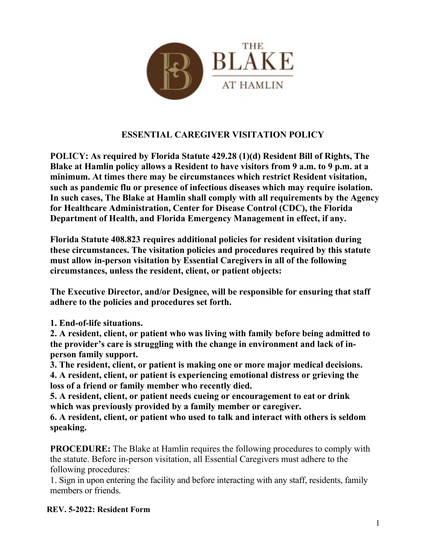

## **ESSENTIAL CAREGIVER VISITATION POLICY**

**POLICY: As required by Florida Statute 429.28 (1)(d) Resident Bill of Rights, The Blake at Hamlin policy allows a Resident to have visitors from 9 a.m. to 9 p.m. at a minimum. At times there may be circumstances which restrict Resident visitation, such as pandemic flu or presence of infectious diseases which may require isolation. In such cases, The Blake at Hamlin shall comply with all requirements by the Agency for Healthcare Administration, Center for Disease Control (CDC), the Florida Department of Health, and Florida Emergency Management in effect, if any.**

**Florida Statute 408.823 requires additional policies for resident visitation during these circumstances. The visitation policies and procedures required by this statute must allow in-person visitation by Essential Caregivers in all of the following circumstances, unless the resident, client, or patient objects:**

**The Executive Director, and/or Designee, will be responsible for ensuring that staff adhere to the policies and procedures set forth.**

**1. End-of-life situations.**

**2. A resident, client, or patient who was living with family before being admitted to the provider's care is struggling with the change in environment and lack of inperson family support.**

**3. The resident, client, or patient is making one or more major medical decisions. 4. A resident, client, or patient is experiencing emotional distress or grieving the loss of a friend or family member who recently died.**

**5. A resident, client, or patient needs cueing or encouragement to eat or drink which was previously provided by a family member or caregiver.**

**6. A resident, client, or patient who used to talk and interact with others is seldom speaking.**

**PROCEDURE:** The Blake at Hamlin requires the following procedures to comply with the statute. Before in-person visitation, all Essential Caregivers must adhere to the following procedures:

1. Sign in upon entering the facility and before interacting with any staff, residents, family members or friends.

## **REV. 5-2022: Resident Form**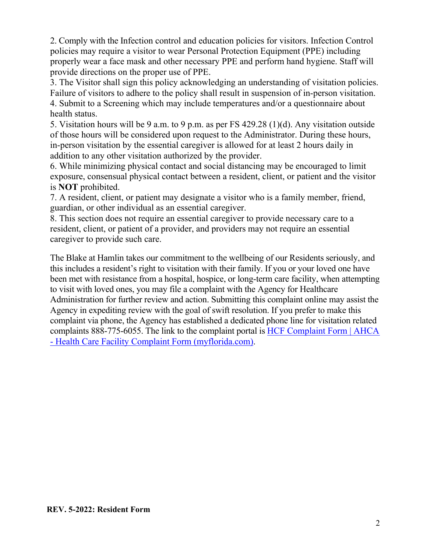2. Comply with the Infection control and education policies for visitors. Infection Control policies may require a visitor to wear Personal Protection Equipment (PPE) including properly wear a face mask and other necessary PPE and perform hand hygiene. Staff will provide directions on the proper use of PPE.

3. The Visitor shall sign this policy acknowledging an understanding of visitation policies. Failure of visitors to adhere to the policy shall result in suspension of in-person visitation. 4. Submit to a Screening which may include temperatures and/or a questionnaire about health status.

5. Visitation hours will be 9 a.m. to 9 p.m. as per FS 429.28 (1)(d). Any visitation outside of those hours will be considered upon request to the Administrator. During these hours, in-person visitation by the essential caregiver is allowed for at least 2 hours daily in addition to any other visitation authorized by the provider.

6. While minimizing physical contact and social distancing may be encouraged to limit exposure, consensual physical contact between a resident, client, or patient and the visitor is **NOT** prohibited.

7. A resident, client, or patient may designate a visitor who is a family member, friend, guardian, or other individual as an essential caregiver.

8. This section does not require an essential caregiver to provide necessary care to a resident, client, or patient of a provider, and providers may not require an essential caregiver to provide such care.

The Blake at Hamlin takes our commitment to the wellbeing of our Residents seriously, and this includes a resident's right to visitation with their family. If you or your loved one have been met with resistance from a hospital, hospice, or long-term care facility, when attempting to visit with loved ones, you may file a complaint with the Agency for Healthcare Administration for further review and action. Submitting this complaint online may assist the Agency in expediting review with the goal of swift resolution. If you prefer to make this complaint via phone, the Agency has established a dedicated phone line for visitation related complaints 888-775-6055. The link to the complaint portal is [HCF Complaint Form | AHCA](https://apps.ahca.myflorida.com/hcfc/)  - [Health Care Facility Complaint Form \(myflorida.com\).](https://apps.ahca.myflorida.com/hcfc/)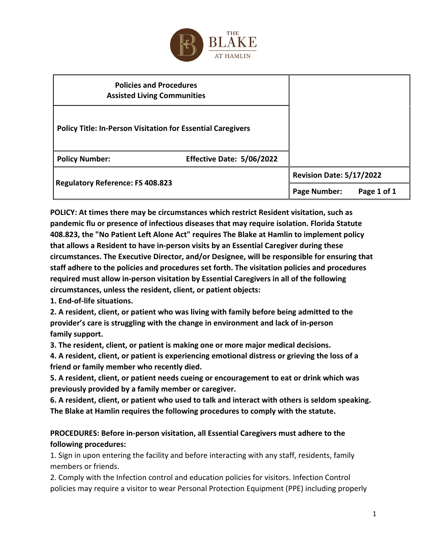

| <b>Policies and Procedures</b><br><b>Assisted Living Communities</b> |                           |                                 |             |
|----------------------------------------------------------------------|---------------------------|---------------------------------|-------------|
| <b>Policy Title: In-Person Visitation for Essential Caregivers</b>   |                           |                                 |             |
| <b>Policy Number:</b>                                                | Effective Date: 5/06/2022 |                                 |             |
| <b>Regulatory Reference: FS 408.823</b>                              |                           | <b>Revision Date: 5/17/2022</b> |             |
|                                                                      |                           | <b>Page Number:</b>             | Page 1 of 1 |

**POLICY: At times there may be circumstances which restrict Resident visitation, such as pandemic flu or presence of infectious diseases that may require isolation. Florida Statute 408.823, the "No Patient Left Alone Act" requires The Blake at Hamlin to implement policy that allows a Resident to have in-person visits by an Essential Caregiver during these circumstances. The Executive Director, and/or Designee, will be responsible for ensuring that staff adhere to the policies and procedures set forth. The visitation policies and procedures required must allow in-person visitation by Essential Caregivers in all of the following circumstances, unless the resident, client, or patient objects:** 

**1. End-of-life situations.** 

**2. A resident, client, or patient who was living with family before being admitted to the provider's care is struggling with the change in environment and lack of in-person family support.** 

**3. The resident, client, or patient is making one or more major medical decisions.** 

**4. A resident, client, or patient is experiencing emotional distress or grieving the loss of a friend or family member who recently died.** 

**5. A resident, client, or patient needs cueing or encouragement to eat or drink which was previously provided by a family member or caregiver.** 

**6. A resident, client, or patient who used to talk and interact with others is seldom speaking. The Blake at Hamlin requires the following procedures to comply with the statute.** 

## **PROCEDURES: Before in-person visitation, all Essential Caregivers must adhere to the following procedures:**

1. Sign in upon entering the facility and before interacting with any staff, residents, family members or friends.

2. Comply with the Infection control and education policies for visitors. Infection Control policies may require a visitor to wear Personal Protection Equipment (PPE) including properly